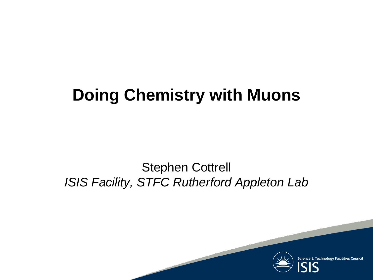## **Doing Chemistry with Muons**

#### Stephen Cottrell *ISIS Facility, STFC Rutherford Appleton Lab*

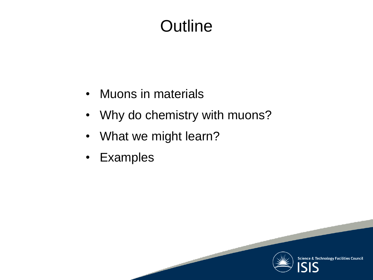# **Outline**

- Muons in materials
- Why do chemistry with muons?
- What we might learn?
- Examples

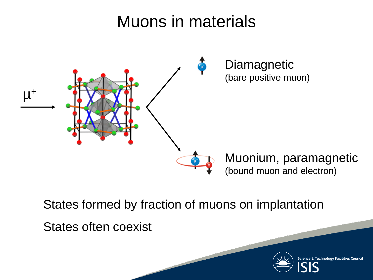### Muons in materials



States formed by fraction of muons on implantation

States often coexist

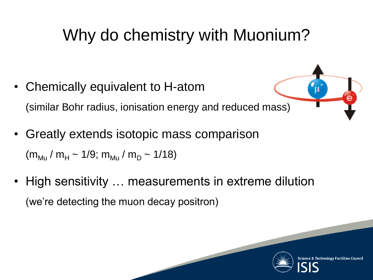# Why do chemistry with Muonium?

- Chemically equivalent to H-atom (similar Bohr radius, ionisation energy and reduced mass)
- Greatly extends isotopic mass comparison  $(m_{\text{M}_{\text{U}}} / m_{\text{H}} \sim 1/9$ ;  $m_{\text{M}_{\text{U}}} / m_{\text{D}} \sim 1/18$ )
- High sensitivity … measurements in extreme dilution (we're detecting the muon decay positron)

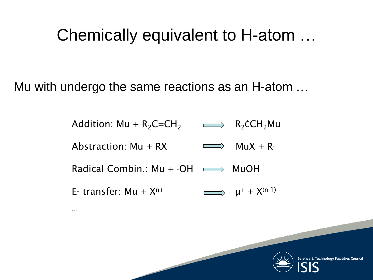#### Chemically equivalent to H-atom …

Mu with undergo the same reactions as an H-atom …

…

Addition: Mu +  $R_2C=CH_2$   $\longrightarrow$   $R_2\text{c}CH_2\text{Mu}$ Abstraction:  $Mu + RX$  MuX + R· Radical Combin.: Mu +  $\cdot$ OH  $\longrightarrow$  MuOH E- transfer:  $Mu + X^{n+}$   $\longrightarrow$   $u^{+} + X^{(n-1)+}$ 

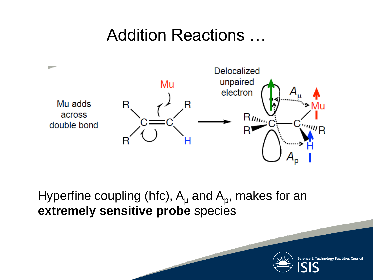#### Addition Reactions …



Hyperfine coupling (hfc),  $A_\mu$  and  $A_\rho$ , makes for an **extremely sensitive probe** species

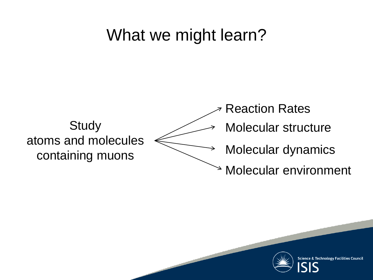#### What we might learn?



Reaction Rates Molecular structure Molecular dynamics Molecular environment

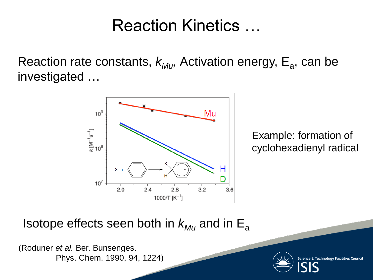#### Reaction Kinetics …

Reaction rate constants,  $k_{M,U}$ , Activation energy, E<sub>a</sub>, can be investigated …



Example: formation of cyclohexadienyl radical

Isotope effects seen both in  $k_{M_U}$  and in  $E_a$ 

(Roduner *et al.* Ber. Bunsenges. Phys. Chem. 1990, 94, 1224)

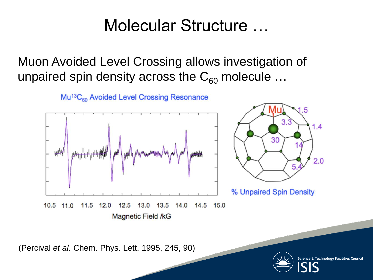#### Molecular Structure …

Muon Avoided Level Crossing allows investigation of unpaired spin density across the  $C_{60}$  molecule ...



Mu<sup>13</sup>C<sub>60</sub> Avoided Level Crossing Resonance

(Percival *et al.* Chem. Phys. Lett. 1995, 245, 90)

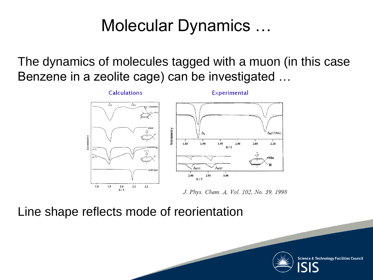### Molecular Dynamics …

The dynamics of molecules tagged with a muon (in this case Benzene in a zeolite cage) can be investigated …



J. Phys. Chem. A, Vol. 102, No. 39, 1998

Line shape reflects mode of reorientation

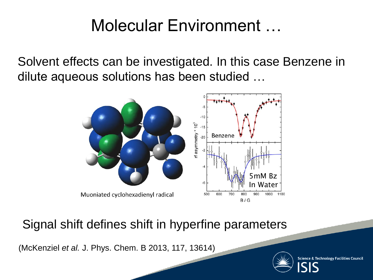### Molecular Environment …

Solvent effects can be investigated. In this case Benzene in dilute aqueous solutions has been studied …



Signal shift defines shift in hyperfine parameters

(McKenziel *et al.* J. Phys. Chem. B 2013, 117, 13614)